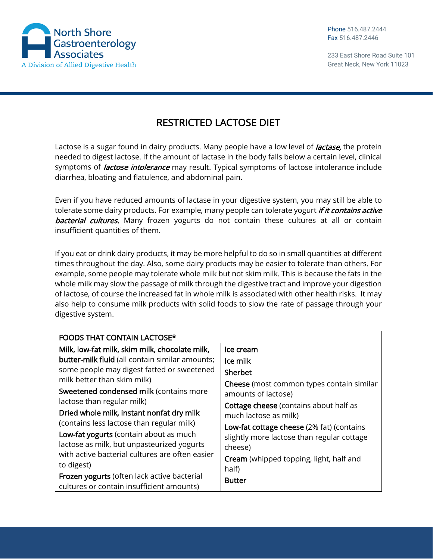

## RESTRICTED LACTOSE DIET

Lactose is a sugar found in dairy products. Many people have a low level of *lactase*, the protein needed to digest lactose. If the amount of lactase in the body falls below a certain level, clinical symptoms of *lactose intolerance* may result. Typical symptoms of lactose intolerance include diarrhea, bloating and flatulence, and abdominal pain.

Even if you have reduced amounts of lactase in your digestive system, you may still be able to tolerate some dairy products. For example, many people can tolerate yogurt *if it contains active* **bacterial cultures.** Many frozen yogurts do not contain these cultures at all or contain insufficient quantities of them.

If you eat or drink dairy products, it may be more helpful to do so in small quantities at different times throughout the day. Also, some dairy products may be easier to tolerate than others. For example, some people may tolerate whole milk but not skim milk. This is because the fats in the whole milk may slow the passage of milk through the digestive tract and improve your digestion of lactose, of course the increased fat in whole milk is associated with other health risks. It may also help to consume milk products with solid foods to slow the rate of passage through your digestive system.

| <b>FOODS THAT CONTAIN LACTOSE*</b>              |                                                |  |  |
|-------------------------------------------------|------------------------------------------------|--|--|
| Milk, low-fat milk, skim milk, chocolate milk,  | Ice cream                                      |  |  |
| butter-milk fluid (all contain similar amounts; | Ice milk                                       |  |  |
| some people may digest fatted or sweetened      | <b>Sherbet</b>                                 |  |  |
| milk better than skim milk)                     | Cheese (most common types contain similar      |  |  |
| Sweetened condensed milk (contains more         | amounts of lactose)                            |  |  |
| lactose than regular milk)                      | <b>Cottage cheese</b> (contains about half as  |  |  |
| Dried whole milk, instant nonfat dry milk       | much lactose as milk)                          |  |  |
| (contains less lactose than regular milk)       | Low-fat cottage cheese (2% fat) (contains      |  |  |
| Low-fat yogurts (contain about as much          | slightly more lactose than regular cottage     |  |  |
| lactose as milk, but unpasteurized yogurts      | cheese)                                        |  |  |
| with active bacterial cultures are often easier | <b>Cream</b> (whipped topping, light, half and |  |  |
| to digest)                                      | half)                                          |  |  |
| Frozen yogurts (often lack active bacterial     | <b>Butter</b>                                  |  |  |
| cultures or contain insufficient amounts)       |                                                |  |  |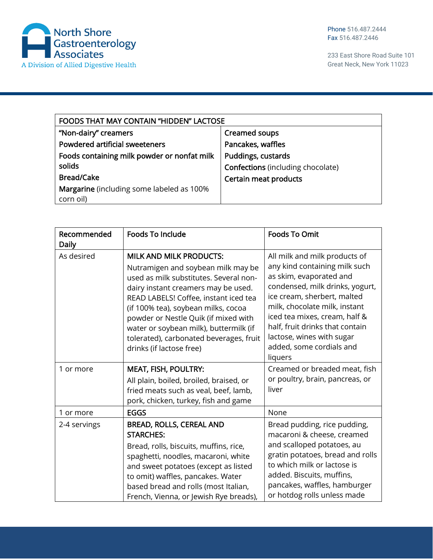

| <b>FOODS THAT MAY CONTAIN "HIDDEN" LACTOSE</b> |                                          |  |
|------------------------------------------------|------------------------------------------|--|
| "Non-dairy" creamers                           | <b>Creamed soups</b>                     |  |
| Powdered artificial sweeteners                 | Pancakes, waffles                        |  |
| Foods containing milk powder or nonfat milk    | Puddings, custards                       |  |
| solids                                         | <b>Confections</b> (including chocolate) |  |
| <b>Bread/Cake</b>                              | Certain meat products                    |  |
| Margarine (including some labeled as 100%      |                                          |  |
| corn oil)                                      |                                          |  |

| Recommended<br>Daily | <b>Foods To Include</b>                                                                                                                                                                                                                                                                                                                                                                        | <b>Foods To Omit</b>                                                                                                                                                                                                                                                                                                                 |
|----------------------|------------------------------------------------------------------------------------------------------------------------------------------------------------------------------------------------------------------------------------------------------------------------------------------------------------------------------------------------------------------------------------------------|--------------------------------------------------------------------------------------------------------------------------------------------------------------------------------------------------------------------------------------------------------------------------------------------------------------------------------------|
| As desired           | <b>MILK AND MILK PRODUCTS:</b><br>Nutramigen and soybean milk may be<br>used as milk substitutes. Several non-<br>dairy instant creamers may be used.<br>READ LABELS! Coffee, instant iced tea<br>(if 100% tea), soybean milks, cocoa<br>powder or Nestle Quik (if mixed with<br>water or soybean milk), buttermilk (if<br>tolerated), carbonated beverages, fruit<br>drinks (if lactose free) | All milk and milk products of<br>any kind containing milk such<br>as skim, evaporated and<br>condensed, milk drinks, yogurt,<br>ice cream, sherbert, malted<br>milk, chocolate milk, instant<br>iced tea mixes, cream, half &<br>half, fruit drinks that contain<br>lactose, wines with sugar<br>added, some cordials and<br>liquers |
| 1 or more            | <b>MEAT, FISH, POULTRY:</b><br>All plain, boiled, broiled, braised, or<br>fried meats such as veal, beef, lamb,<br>pork, chicken, turkey, fish and game                                                                                                                                                                                                                                        | Creamed or breaded meat, fish<br>or poultry, brain, pancreas, or<br>liver                                                                                                                                                                                                                                                            |
| 1 or more            | <b>EGGS</b>                                                                                                                                                                                                                                                                                                                                                                                    | None                                                                                                                                                                                                                                                                                                                                 |
| 2-4 servings         | <b>BREAD, ROLLS, CEREAL AND</b><br><b>STARCHES:</b><br>Bread, rolls, biscuits, muffins, rice,<br>spaghetti, noodles, macaroni, white<br>and sweet potatoes (except as listed<br>to omit) waffles, pancakes. Water<br>based bread and rolls (most Italian,<br>French, Vienna, or Jewish Rye breads),                                                                                            | Bread pudding, rice pudding,<br>macaroni & cheese, creamed<br>and scalloped potatoes, au<br>gratin potatoes, bread and rolls<br>to which milk or lactose is<br>added. Biscuits, muffins,<br>pancakes, waffles, hamburger<br>or hotdog rolls unless made                                                                              |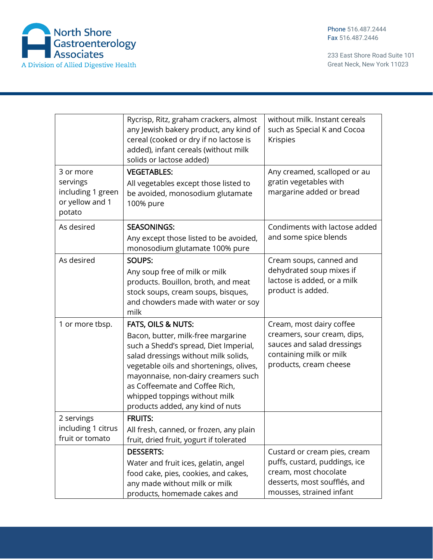

|                                                            | Rycrisp, Ritz, graham crackers, almost<br>any Jewish bakery product, any kind of<br>cereal (cooked or dry if no lactose is<br>added), infant cereals (without milk<br>solids or lactose added) | without milk. Instant cereals<br>such as Special K and Cocoa<br>Krispies |
|------------------------------------------------------------|------------------------------------------------------------------------------------------------------------------------------------------------------------------------------------------------|--------------------------------------------------------------------------|
| 3 or more                                                  | <b>VEGETABLES:</b>                                                                                                                                                                             | Any creamed, scalloped or au                                             |
| servings<br>including 1 green<br>or yellow and 1<br>potato | All vegetables except those listed to<br>be avoided, monosodium glutamate<br>100% pure                                                                                                         | gratin vegetables with<br>margarine added or bread                       |
| As desired                                                 | <b>SEASONINGS:</b>                                                                                                                                                                             | Condiments with lactose added                                            |
|                                                            | Any except those listed to be avoided,<br>monosodium glutamate 100% pure                                                                                                                       | and some spice blends                                                    |
| As desired                                                 | <b>SOUPS:</b>                                                                                                                                                                                  | Cream soups, canned and                                                  |
|                                                            | Any soup free of milk or milk                                                                                                                                                                  | dehydrated soup mixes if<br>lactose is added, or a milk                  |
|                                                            | products. Bouillon, broth, and meat<br>stock soups, cream soups, bisques,                                                                                                                      | product is added.                                                        |
|                                                            | and chowders made with water or soy<br>milk                                                                                                                                                    |                                                                          |
| 1 or more tbsp.                                            | FATS, OILS & NUTS:                                                                                                                                                                             | Cream, most dairy coffee                                                 |
|                                                            | Bacon, butter, milk-free margarine                                                                                                                                                             | creamers, sour cream, dips,                                              |
|                                                            | such a Shedd's spread, Diet Imperial,<br>salad dressings without milk solids,                                                                                                                  | sauces and salad dressings<br>containing milk or milk                    |
|                                                            | vegetable oils and shortenings, olives,                                                                                                                                                        | products, cream cheese                                                   |
|                                                            | mayonnaise, non-dairy creamers such                                                                                                                                                            |                                                                          |
|                                                            | as Coffeemate and Coffee Rich,                                                                                                                                                                 |                                                                          |
|                                                            | whipped toppings without milk<br>products added, any kind of nuts                                                                                                                              |                                                                          |
| 2 servings                                                 | <b>FRUITS:</b>                                                                                                                                                                                 |                                                                          |
| including 1 citrus                                         | All fresh, canned, or frozen, any plain                                                                                                                                                        |                                                                          |
| fruit or tomato                                            | fruit, dried fruit, yogurt if tolerated                                                                                                                                                        |                                                                          |
|                                                            | <b>DESSERTS:</b>                                                                                                                                                                               | Custard or cream pies, cream<br>puffs, custard, puddings, ice            |
|                                                            | Water and fruit ices, gelatin, angel<br>food cake, pies, cookies, and cakes,                                                                                                                   | cream, most chocolate                                                    |
|                                                            | any made without milk or milk                                                                                                                                                                  | desserts, most soufflés, and                                             |
|                                                            | products, homemade cakes and                                                                                                                                                                   | mousses, strained infant                                                 |